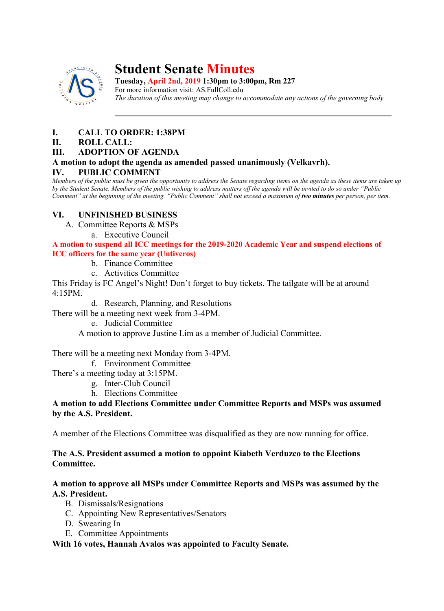

# **Student Senate Minutes**

**Tuesday, April 2nd, 2019 1:30pm to 3:00pm, Rm 227**

For more information visit: AS.FullColl.edu *The duration of this meeting may change to accommodate any actions of the governing body*

# **I. CALL TO ORDER: 1:38PM**

#### **II. ROLL CALL:**

#### **III. ADOPTION OF AGENDA**

# **A motion to adopt the agenda as amended passed unanimously (Velkavrh).**

## **IV. PUBLIC COMMENT**

*Members of the public must be given the opportunity to address the Senate regarding items on the agenda as these items are taken up by the Student Senate. Members of the public wishing to address matters off the agenda will be invited to do so under "Public Comment" at the beginning of the meeting. "Public Comment" shall not exceed a maximum of two minutes per person, per item.*

# **VI. UNFINISHED BUSINESS**

- A. Committee Reports & MSPs
	- a. Executive Council

**A motion to suspend all ICC meetings for the 2019-2020 Academic Year and suspend elections of ICC officers for the same year (Untiveros)**

- b. Finance Committee
- c. Activities Committee

This Friday is FC Angel's Night! Don't forget to buy tickets. The tailgate will be at around 4:15PM.

d. Research, Planning, and Resolutions

There will be a meeting next week from 3-4PM.

e. Judicial Committee

A motion to approve Justine Lim as a member of Judicial Committee.

There will be a meeting next Monday from 3-4PM.

f. Environment Committee

There's a meeting today at 3:15PM.

- g. Inter-Club Council
- h. Elections Committee

## **A motion to add Elections Committee under Committee Reports and MSPs was assumed by the A.S. President.**

A member of the Elections Committee was disqualified as they are now running for office.

# **The A.S. President assumed a motion to appoint Kiabeth Verduzco to the Elections Committee.**

#### **A motion to approve all MSPs under Committee Reports and MSPs was assumed by the A.S. President.**

- B. Dismissals/Resignations
- C. Appointing New Representatives/Senators
- D. Swearing In
- E. Committee Appointments

## **With 16 votes, Hannah Avalos was appointed to Faculty Senate.**